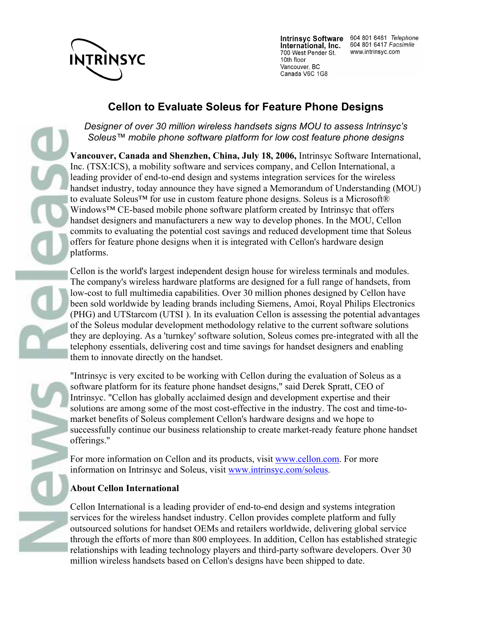

International, Inc. 700 West Pender St. 10th floor Vancouver, BC Canada V6C 1G8

Intrinsyc Software 604 801 6461 Telephone<br>International. Inc. 604 801 6417 Facsimile www.intrinsyc.com

## **Cellon to Evaluate Soleus for Feature Phone Designs**

*Designer of over 30 million wireless handsets signs MOU to assess Intrinsyc's Soleus™ mobile phone software platform for low cost feature phone designs*

**Vancouver, Canada and Shenzhen, China, July 18, 2006,** Intrinsyc Software International, Inc. (TSX:ICS), a mobility software and services company, and Cellon International, a leading provider of end-to-end design and systems integration services for the wireless handset industry, today announce they have signed a Memorandum of Understanding (MOU) to evaluate Soleus<sup>™</sup> for use in custom feature phone designs. Soleus is a Microsoft® Windows™ CE-based mobile phone software platform created by Intrinsyc that offers handset designers and manufacturers a new way to develop phones. In the MOU, Cellon commits to evaluating the potential cost savings and reduced development time that Soleus offers for feature phone designs when it is integrated with Cellon's hardware design platforms.

Cellon is the world's largest independent design house for wireless terminals and modules. The company's wireless hardware platforms are designed for a full range of handsets, from low-cost to full multimedia capabilities. Over 30 million phones designed by Cellon have been sold worldwide by leading brands including Siemens, Amoi, Royal Philips Electronics (PHG) and UTStarcom (UTSI ). In its evaluation Cellon is assessing the potential advantages of the Soleus modular development methodology relative to the current software solutions they are deploying. As a 'turnkey' software solution, Soleus comes pre-integrated with all the telephony essentials, delivering cost and time savings for handset designers and enabling them to innovate directly on the handset.

"Intrinsyc is very excited to be working with Cellon during the evaluation of Soleus as a software platform for its feature phone handset designs," said Derek Spratt, CEO of Intrinsyc. "Cellon has globally acclaimed design and development expertise and their solutions are among some of the most cost-effective in the industry. The cost and time-tomarket benefits of Soleus complement Cellon's hardware designs and we hope to successfully continue our business relationship to create market-ready feature phone handset offerings."

For more information on Cellon and its products, visit www.cellon.com. For more information on Intrinsyc and Soleus, visit www.intrinsyc.com/soleus.

## **About Cellon International**

Cellon International is a leading provider of end-to-end design and systems integration services for the wireless handset industry. Cellon provides complete platform and fully outsourced solutions for handset OEMs and retailers worldwide, delivering global service through the efforts of more than 800 employees. In addition, Cellon has established strategic relationships with leading technology players and third-party software developers. Over 30 million wireless handsets based on Cellon's designs have been shipped to date.